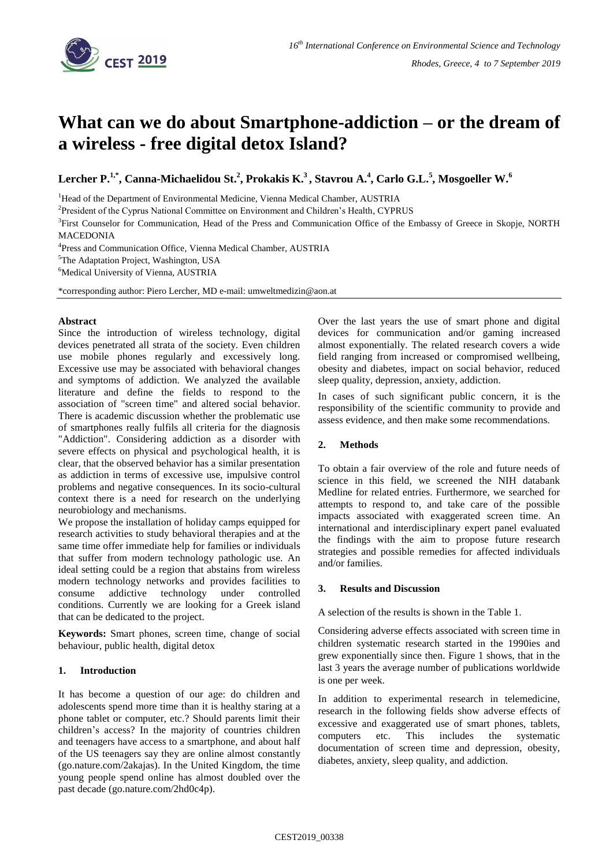

# **What can we do about Smartphone-addiction – or the dream of a wireless - free digital detox Island?**

**Lercher P. 1,\* , Canna-Michaelidou St. 2 , Prokakis K. <sup>3</sup>, Stavrou A. 4 , Carlo G.L. 5 , Mosgoeller W. 6**

<sup>1</sup>Head of the Department of Environmental Medicine, Vienna Medical Chamber, AUSTRIA

<sup>2</sup>President of the Cyprus National Committee on Environment and Children's Health, CYPRUS

<sup>3</sup>First Counselor for Communication, Head of the Press and Communication Office of the Embassy of Greece in Skopje, NORTH **MACEDONIA** 

4 Press and Communication Office, Vienna Medical Chamber, AUSTRIA

<sup>5</sup>The Adaptation Project, Washington, USA

<sup>6</sup>Medical University of Vienna, AUSTRIA

\*corresponding author: Piero Lercher, MD e-mail: umweltmedizin@aon.at

#### **Abstract**

Since the introduction of wireless technology, digital devices penetrated all strata of the society. Even children use mobile phones regularly and excessively long. Excessive use may be associated with behavioral changes and symptoms of addiction. We analyzed the available literature and define the fields to respond to the association of "screen time" and altered social behavior. There is academic discussion whether the problematic use of smartphones really fulfils all criteria for the diagnosis "Addiction". Considering addiction as a disorder with severe effects on physical and psychological health, it is clear, that the observed behavior has a similar presentation as addiction in terms of excessive use, impulsive control problems and negative consequences. In its socio-cultural context there is a need for research on the underlying neurobiology and mechanisms.

We propose the installation of holiday camps equipped for research activities to study behavioral therapies and at the same time offer immediate help for families or individuals that suffer from modern technology pathologic use. An ideal setting could be a region that abstains from wireless modern technology networks and provides facilities to consume addictive technology under controlled conditions. Currently we are looking for a Greek island that can be dedicated to the project.

**Keywords:** Smart phones, screen time, change of social behaviour, public health, digital detox

## **1. Introduction**

It has become a question of our age: do children and adolescents spend more time than it is healthy staring at a phone tablet or computer, etc.? Should parents limit their children's access? In the majority of countries children and teenagers have access to a smartphone, and about half of the US teenagers say they are online almost constantly (go.nature.com/2akajas). In the United Kingdom, the time young people spend online has almost doubled over the past decade (go.nature.com/2hd0c4p).

Over the last years the use of smart phone and digital devices for communication and/or gaming increased almost exponentially. The related research covers a wide field ranging from increased or compromised wellbeing, obesity and diabetes, impact on social behavior, reduced sleep quality, depression, anxiety, addiction.

In cases of such significant public concern, it is the responsibility of the scientific community to provide and assess evidence, and then make some recommendations.

## **2. Methods**

To obtain a fair overview of the role and future needs of science in this field, we screened the NIH databank Medline for related entries. Furthermore, we searched for attempts to respond to, and take care of the possible impacts associated with exaggerated screen time. An international and interdisciplinary expert panel evaluated the findings with the aim to propose future research strategies and possible remedies for affected individuals and/or families.

## **3. Results and Discussion**

A selection of the results is shown in the Table 1.

Considering adverse effects associated with screen time in children systematic research started in the 1990ies and grew exponentially since then. Figure 1 shows, that in the last 3 years the average number of publications worldwide is one per week.

In addition to experimental research in telemedicine, research in the following fields show adverse effects of excessive and exaggerated use of smart phones, tablets, computers etc. This includes the systematic documentation of screen time and depression, obesity, diabetes, anxiety, sleep quality, and addiction.